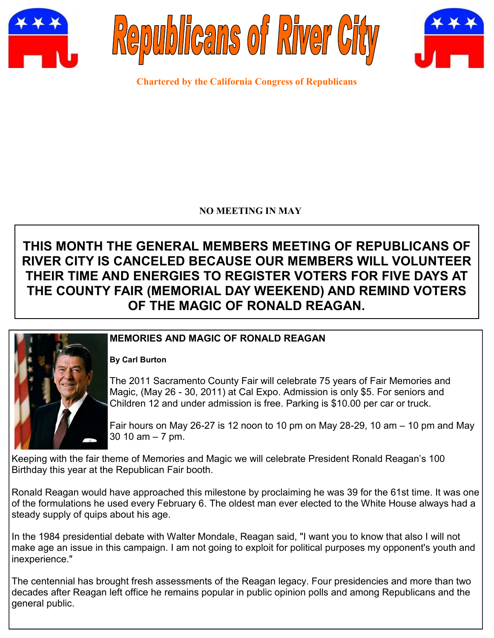





**Chartered by the California Congress of Republicans**

## **NO MEETING IN MAY**

# **THIS MONTH THE GENERAL MEMBERS MEETING OF REPUBLICANS OF RIVER CITY IS CANCELED BECAUSE OUR MEMBERS WILL VOLUNTEER THEIR TIME AND ENERGIES TO REGISTER VOTERS FOR FIVE DAYS AT THE COUNTY FAIR (MEMORIAL DAY WEEKEND) AND REMIND VOTERS OF THE MAGIC OF RONALD REAGAN.**



# **MEMORIES AND MAGIC OF RONALD REAGAN**

#### **By Carl Burton**

The 2011 Sacramento County Fair will celebrate 75 years of Fair Memories and Magic, (May 26 - 30, 2011) at Cal Expo. Admission is only \$5. For seniors and Children 12 and under admission is free. Parking is \$10.00 per car or truck.

Fair hours on May 26-27 is 12 noon to 10 pm on May 28-29, 10 am  $-$  10 pm and May 30 10 am – 7 pm.

Keeping with the fair theme of Memories and Magic we will celebrate President Ronald Reagan's 100 Birthday this year at the Republican Fair booth.

Ronald Reagan would have approached this milestone by proclaiming he was 39 for the 61st time. It was one of the formulations he used every February 6. The oldest man ever elected to the White House always had a steady supply of quips about his age.

In the 1984 presidential debate with Walter Mondale, Reagan said, "I want you to know that also I will not make age an issue in this campaign. I am not going to exploit for political purposes my opponent's youth and inexperience."

The centennial has brought fresh assessments of the Reagan legacy. Four presidencies and more than two decades after Reagan left office he remains popular in public opinion polls and among Republicans and the general public.